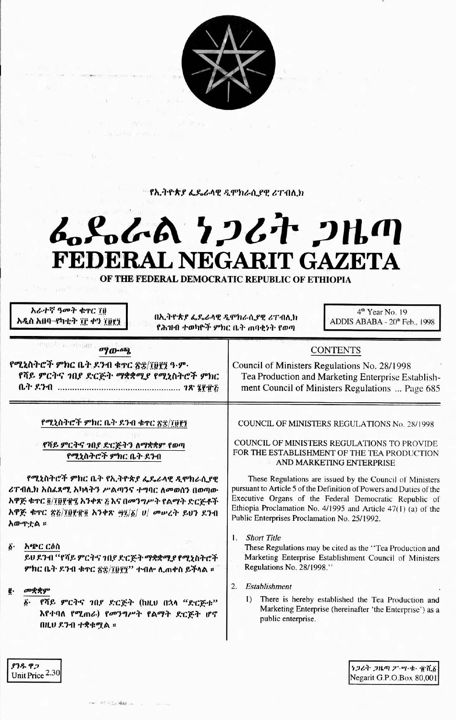

<u>የኢትዮጵያ ፌዴራሳዊ ዲሞክራሲያዊ ሪፐብሊክ</u>

## んぺんよ ケンムナ フルの FEDERAL NEGARIT GAZETA

OF THE FEDERAL DEMOCRATIC REPUBLIC OF ETHIOPIA

አራተኛ ዓመት ቁኖር ገን አዲስ አበባ-የካቲት ፲፫ ቀን ፲፱፻፺

中生的 医消毒斑目

በኢትዮጵያ ፌዴራላዊ ዲሞክራሲያዊ ሪፐብሊክ የሕዝብ ተወካዮች ምክር ቤት ጠባቂነት የወጣ

4<sup>th</sup> Year No. 19 ADDIS ABABA - 20<sup>th</sup> Feb., 1998

| $\mathbf{w}$                                                               |  |
|----------------------------------------------------------------------------|--|
| የሚኒስትሮች ምክር ቤት ዶንብ ቁተር ጽቌ/፲፱፻፺ ዓ·ም·<br>የሻይ ምርትና ኀበያ ድርጅት ማቋቋሚያ የሚኒስትሮች ምክር |  |
|                                                                            |  |

 $\boldsymbol{a}$ 

**COUNCIL OF MINISTERS REGULATIONS No. 28/1998** 

**CONTENTS** 

Tea Production and Marketing Enterprise Establishment Council of Ministers Regulations ... Page 685

Council of Ministers Regulations No. 28/1998

የሻይ ምርትና ኀበያ ድርጅትን ለማቋቋም የወጣ የሚኒስትሮች ምክር ቤት ደንብ

የሚኒስተሮች ምክር ቤት ደንብ ቁተር ጽኗ/፲፱፻፺

የሚኒስትሮች ምክር ቤት የኢትዮጵያ ፌዴራላዊ ዲሞክራሲያዊ ሪፐብሊክ አስፈጻሚ አካላትን ሥልጣንና ተግባር ለመወሰን በወጣው አዋጅ ቁጥር ፬/፲፱፻፹፯ አንቀጽ ፘ እና በመንግሥት የልማት ድርጅቶች አዋጅ ቁጥር ጽሯ/፲፱፻፹፬ አንቀጽ ፵፯/፩/ ሀ/ መሥረት ይህን ደንብ አውዋቷል ፡፡

አጭር ርዕስ  $\vec{b}$ .

> ይህ ደንብ ''የሻይ ምርትና ኀበደ ድርጅት ማቋቋሚያ የሚኒስትሮች ምክር ቤት ደንብ ቁተር ጽ፳/፲፱፻፺'' ተብሎ ሲጠቀስ ይችላል ፡፡

የሻይ ምርትና ኀቢደ ድርጅት (ከዚህ በኋላ "ድርጅቱ" እየተባለ የሚጠራ) የመንግሥት የልማት ድርጅት ሆኖ በዚህ ደንብ ተቋቁሚል ።

COUNCIL OF MINISTERS REGULATIONS TO PROVIDE FOR THE ESTABLISHMENT OF THE TEA PRODUCTION AND MARKETING ENTERPRISE

These Regulations are issued by the Council of Ministers pursuant to Article 5 of the Definition of Powers and Duties of the Executive Organs of the Federal Democratic Republic of Ethiopia Proclamation No. 4/1995 and Article 47(1) (a) of the Public Enterprises Proclamation No. 25/1992.

 $\mathbf{1}$ **Short Title** 

These Regulations may be cited as the "Tea Production and Marketing Enterprise Establishment Council of Ministers Regulations No. 28/1998."

- 2. Establishment
	- $\overline{1}$ There is hereby established the Tea Production and Marketing Enterprise (hereinafter 'the Enterprise') as a public enterprise.